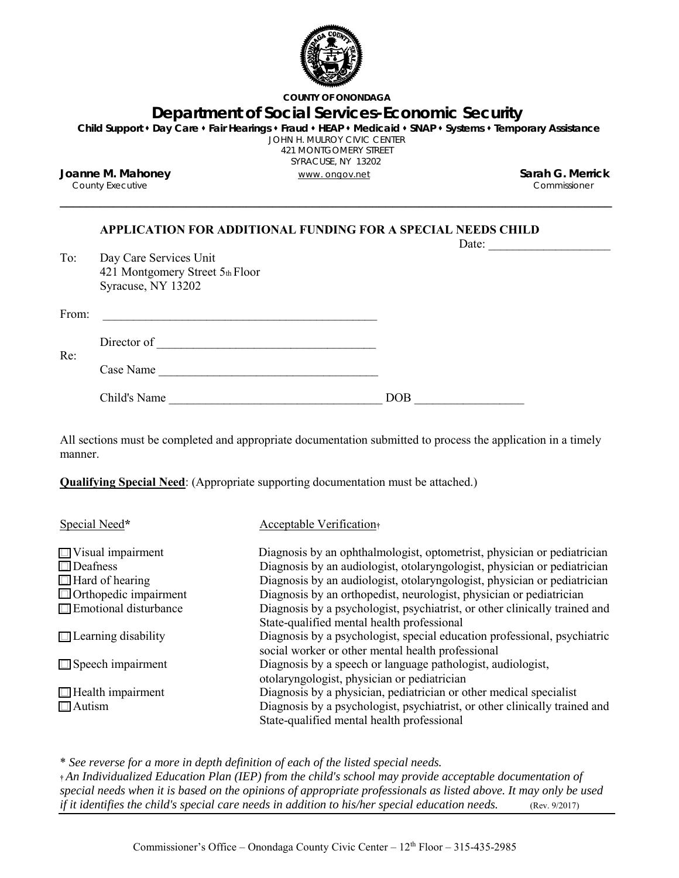

**COUNTY OF ONONDAGA**

# **Department of Social Services-Economic Security**

**Child Support Day Care Fair Hearings Fraud HEAP Medicaid SNAP Systems Temporary Assistance** JOHN H. MULROY CIVIC CENTER

421 MONTGOMERY STREET

SYRACUSE, NY 13202

\_\_\_\_\_\_\_\_\_\_\_\_\_\_\_\_\_\_\_\_\_\_\_\_\_\_\_\_\_\_\_\_\_\_\_\_\_\_\_\_\_\_\_\_\_\_\_\_\_\_\_\_\_\_\_\_\_\_\_\_\_\_\_\_\_\_\_\_\_\_\_\_\_\_\_\_\_\_\_\_\_\_\_

**Joanne M. Mahoney** www. ongov.net **Sarah G. Merrick** County Executive

### **APPLICATION FOR ADDITIONAL FUNDING FOR A SPECIAL NEEDS CHILD**

|       |                                                                                 | Date: |  |
|-------|---------------------------------------------------------------------------------|-------|--|
| To:   | Day Care Services Unit<br>421 Montgomery Street 5th Floor<br>Syracuse, NY 13202 |       |  |
| From: |                                                                                 |       |  |
| Re:   | Director of                                                                     |       |  |
|       | Case Name                                                                       |       |  |
|       | Child's Name                                                                    | DOB   |  |

All sections must be completed and appropriate documentation submitted to process the application in a timely manner.

**Qualifying Special Need**: (Appropriate supporting documentation must be attached.)

| Special Need*                | <b>Acceptable Verification</b> <sup>†</sup>                                                                                   |
|------------------------------|-------------------------------------------------------------------------------------------------------------------------------|
| $\Box$ Visual impairment     | Diagnosis by an ophthalmologist, optometrist, physician or pediatrician                                                       |
| $\Box$ Deafness              | Diagnosis by an audiologist, otolaryngologist, physician or pediatrician                                                      |
| $\Box$ Hard of hearing       | Diagnosis by an audiologist, otolaryngologist, physician or pediatrician                                                      |
| $\Box$ Orthopedic impairment | Diagnosis by an orthopedist, neurologist, physician or pediatrician                                                           |
| $\Box$ Emotional disturbance | Diagnosis by a psychologist, psychiatrist, or other clinically trained and                                                    |
|                              | State-qualified mental health professional                                                                                    |
| $\Box$ Learning disability   | Diagnosis by a psychologist, special education professional, psychiatric<br>social worker or other mental health professional |
| $\Box$ Speech impairment     | Diagnosis by a speech or language pathologist, audiologist,                                                                   |
|                              | otolaryngologist, physician or pediatrician                                                                                   |
| $\Box$ Health impairment     | Diagnosis by a physician, pediatrician or other medical specialist                                                            |
| $\Box$ Autism                | Diagnosis by a psychologist, psychiatrist, or other clinically trained and                                                    |
|                              | State-qualified mental health professional                                                                                    |

\* *See reverse for a more in depth definition of each of the listed special needs.*

**†** *An Individualized Education Plan (IEP) from the child's school may provide acceptable documentation of special needs when it is based on the opinions of appropriate professionals as listed above. It may only be used if it identifies the child's special care needs in addition to his/her special education needs.* (Rev. 9/2017)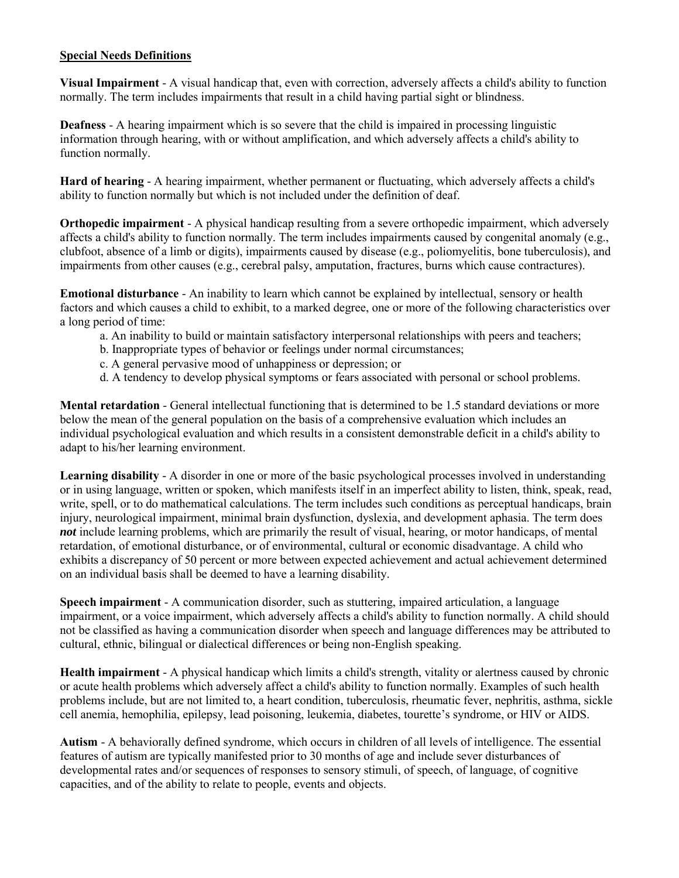## **Special Needs Definitions**

**Visual Impairment** - A visual handicap that, even with correction, adversely affects a child's ability to function normally. The term includes impairments that result in a child having partial sight or blindness.

**Deafness** - A hearing impairment which is so severe that the child is impaired in processing linguistic information through hearing, with or without amplification, and which adversely affects a child's ability to function normally.

**Hard of hearing** - A hearing impairment, whether permanent or fluctuating, which adversely affects a child's ability to function normally but which is not included under the definition of deaf.

**Orthopedic impairment** - A physical handicap resulting from a severe orthopedic impairment, which adversely affects a child's ability to function normally. The term includes impairments caused by congenital anomaly (e.g., clubfoot, absence of a limb or digits), impairments caused by disease (e.g., poliomyelitis, bone tuberculosis), and impairments from other causes (e.g., cerebral palsy, amputation, fractures, burns which cause contractures).

**Emotional disturbance** - An inability to learn which cannot be explained by intellectual, sensory or health factors and which causes a child to exhibit, to a marked degree, one or more of the following characteristics over a long period of time:

- a. An inability to build or maintain satisfactory interpersonal relationships with peers and teachers;
- b. Inappropriate types of behavior or feelings under normal circumstances;
- c. A general pervasive mood of unhappiness or depression; or
- d. A tendency to develop physical symptoms or fears associated with personal or school problems.

**Mental retardation** - General intellectual functioning that is determined to be 1.5 standard deviations or more below the mean of the general population on the basis of a comprehensive evaluation which includes an individual psychological evaluation and which results in a consistent demonstrable deficit in a child's ability to adapt to his/her learning environment.

**Learning disability** - A disorder in one or more of the basic psychological processes involved in understanding or in using language, written or spoken, which manifests itself in an imperfect ability to listen, think, speak, read, write, spell, or to do mathematical calculations. The term includes such conditions as perceptual handicaps, brain injury, neurological impairment, minimal brain dysfunction, dyslexia, and development aphasia. The term does *not* include learning problems, which are primarily the result of visual, hearing, or motor handicaps, of mental retardation, of emotional disturbance, or of environmental, cultural or economic disadvantage. A child who exhibits a discrepancy of 50 percent or more between expected achievement and actual achievement determined on an individual basis shall be deemed to have a learning disability.

**Speech impairment** - A communication disorder, such as stuttering, impaired articulation, a language impairment, or a voice impairment, which adversely affects a child's ability to function normally. A child should not be classified as having a communication disorder when speech and language differences may be attributed to cultural, ethnic, bilingual or dialectical differences or being non-English speaking.

**Health impairment** - A physical handicap which limits a child's strength, vitality or alertness caused by chronic or acute health problems which adversely affect a child's ability to function normally. Examples of such health problems include, but are not limited to, a heart condition, tuberculosis, rheumatic fever, nephritis, asthma, sickle cell anemia, hemophilia, epilepsy, lead poisoning, leukemia, diabetes, tourette's syndrome, or HIV or AIDS.

**Autism** - A behaviorally defined syndrome, which occurs in children of all levels of intelligence. The essential features of autism are typically manifested prior to 30 months of age and include sever disturbances of developmental rates and/or sequences of responses to sensory stimuli, of speech, of language, of cognitive capacities, and of the ability to relate to people, events and objects.